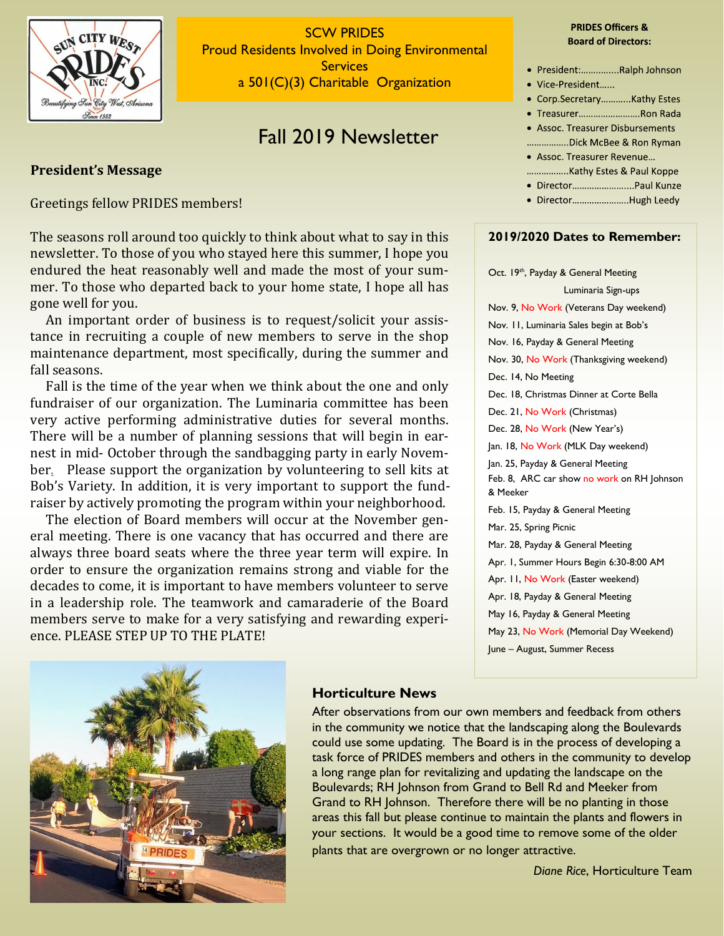

SCW PRIDES Proud Residents Involved in Doing Environmental **Services** a 501(C)(3) Charitable Organization

# Fall 2019 Newsletter

## **President's Message**

Greetings fellow PRIDES members!

The seasons roll around too quickly to think about what to say in this newsletter. To those of you who stayed here this summer, I hope you endured the heat reasonably well and made the most of your summer. To those who departed back to your home state, I hope all has gone well for you.

 An important order of business is to request/solicit your assistance in recruiting a couple of new members to serve in the shop maintenance department, most specifically, during the summer and fall seasons.

 Fall is the time of the year when we think about the one and only fundraiser of our organization. The Luminaria committee has been very active performing administrative duties for several months. There will be a number of planning sessions that will begin in earnest in mid- October through the sandbagging party in early November. Please support the organization by volunteering to sell kits at Bob's Variety. In addition, it is very important to support the fundraiser by actively promoting the program within your neighborhood.

 The election of Board members will occur at the November general meeting. There is one vacancy that has occurred and there are always three board seats where the three year term will expire. In order to ensure the organization remains strong and viable for the decades to come, it is important to have members volunteer to serve in a leadership role. The teamwork and camaraderie of the Board members serve to make for a very satisfying and rewarding experience. PLEASE STEP UP TO THE PLATE!

#### **PRIDES Officers & Board of Directors:**

- · President:...............Ralph Johnson
- Vice-President......
- Corp.Secretary............Kathy Estes
- · Treasurer........................Ron Rada
- Assoc. Treasurer Disbursements
- .................Dick McBee & Ron Ryman
- Assoc. Treasurer Revenue...
- 
- · Director.........................Paul Kunze
- · Director......................Hugh Leedy

#### **2019/2020 Dates to Remember:**

Oct. 19<sup>th</sup>, Payday & General Meeting Luminaria Sign-ups Nov. 9, No Work (Veterans Day weekend) Nov. 11, Luminaria Sales begin at Bob's Nov. 16, Payday & General Meeting Nov. 30, No Work (Thanksgiving weekend) Dec. 14, No Meeting Dec. 18, Christmas Dinner at Corte Bella Dec. 21, No Work (Christmas) Dec. 28, No Work (New Year's) Jan. 18, No Work (MLK Day weekend) Jan. 25, Payday & General Meeting Feb. 8, ARC car show no work on RH Johnson & Meeker Feb. 15, Payday & General Meeting Mar. 25, Spring Picnic Mar. 28, Payday & General Meeting Apr. 1, Summer Hours Begin 6:30-8:00 AM Apr. 11, No Work (Easter weekend) Apr. 18, Payday & General Meeting May 16, Payday & General Meeting May 23, No Work (Memorial Day Weekend) June – August, Summer Recess



# **Horticulture News**

After observations from our own members and feedback from others in the community we notice that the landscaping along the Boulevards could use some updating. The Board is in the process of developing a task force of PRIDES members and others in the community to develop a long range plan for revitalizing and updating the landscape on the Boulevards; RH Johnson from Grand to Bell Rd and Meeker from Grand to RH Johnson. Therefore there will be no planting in those areas this fall but please continue to maintain the plants and flowers in your sections. It would be a good time to remove some of the older plants that are overgrown or no longer attractive.